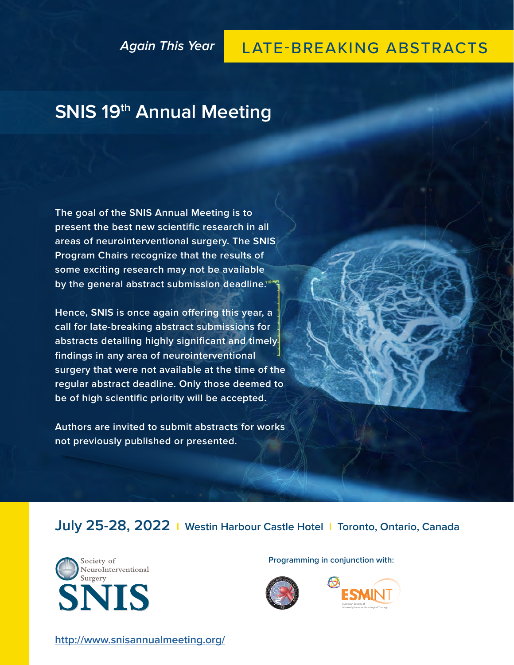### **Again This Year**

## LATE-BREAKING ABSTRACTS

# **SNIS 19th Annual Meeting**

**The goal of the SNIS Annual Meeting is to present the best new scientific research in all areas of neurointerventional surgery. The SNIS Program Chairs recognize that the results of some exciting research may not be available by the general abstract submission deadline.**

**Hence, SNIS is once again offering this year, a call for late-breaking abstract submissions for abstracts detailing highly significant and timely findings in any area of neurointerventional surgery that were not available at the time of the regular abstract deadline. Only those deemed to be of high scientific priority will be accepted.**

**Authors are invited to submit abstracts for works not previously published or presented.**

**July 25-28, 2022 I Westin Harbour Castle Hotel I Toronto, Ontario, Canada**



**Programming in conjunction with:**





**<http://www.snisannualmeeting.org/>**